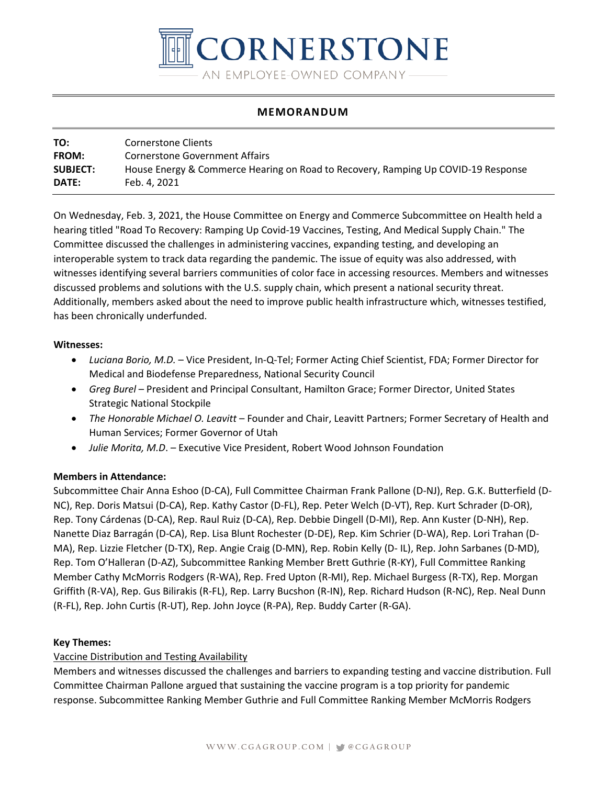

## **MEMORANDUM**

| TO:             | Cornerstone Clients                                                               |
|-----------------|-----------------------------------------------------------------------------------|
| <b>FROM:</b>    | Cornerstone Government Affairs                                                    |
| <b>SUBJECT:</b> | House Energy & Commerce Hearing on Road to Recovery, Ramping Up COVID-19 Response |
| DATE:           | Feb. 4. 2021                                                                      |

On Wednesday, Feb. 3, 2021, the House Committee on Energy and Commerce Subcommittee on Health held a hearing titled "Road To Recovery: Ramping Up Covid-19 Vaccines, Testing, And Medical Supply Chain." The Committee discussed the challenges in administering vaccines, expanding testing, and developing an interoperable system to track data regarding the pandemic. The issue of equity was also addressed, with witnesses identifying several barriers communities of color face in accessing resources. Members and witnesses discussed problems and solutions with the U.S. supply chain, which present a national security threat. Additionally, members asked about the need to improve public health infrastructure which, witnesses testified, has been chronically underfunded.

#### **Witnesses:**

- *Luciana Borio, M.D.* Vice President, In-Q-Tel; Former Acting Chief Scientist, FDA; Former Director for Medical and Biodefense Preparedness, National Security Council
- *Greg Burel* President and Principal Consultant, Hamilton Grace; Former Director, United States Strategic National Stockpile
- *The Honorable Michael O. Leavitt* Founder and Chair, Leavitt Partners; Former Secretary of Health and Human Services; Former Governor of Utah
- *Julie Morita, M.D*. Executive Vice President, Robert Wood Johnson Foundation

### **Members in Attendance:**

Subcommittee Chair Anna Eshoo (D-CA), Full Committee Chairman Frank Pallone (D-NJ), Rep. G.K. Butterfield (D-NC), Rep. Doris Matsui (D-CA), Rep. Kathy Castor (D-FL), Rep. Peter Welch (D-VT), Rep. Kurt Schrader (D-OR), Rep. Tony Cárdenas (D-CA), Rep. Raul Ruiz (D-CA), Rep. Debbie Dingell (D-MI), Rep. Ann Kuster (D-NH), Rep. Nanette Diaz Barragán (D-CA), Rep. Lisa Blunt Rochester (D-DE), Rep. Kim Schrier (D-WA), Rep. Lori Trahan (D-MA), Rep. Lizzie Fletcher (D-TX), Rep. Angie Craig (D-MN), Rep. Robin Kelly (D- IL), Rep. John Sarbanes (D-MD), Rep. Tom O'Halleran (D-AZ), Subcommittee Ranking Member Brett Guthrie (R-KY), Full Committee Ranking Member Cathy McMorris Rodgers (R-WA), Rep. Fred Upton (R-MI), Rep. Michael Burgess (R-TX), Rep. Morgan Griffith (R-VA), Rep. Gus Bilirakis (R-FL), Rep. Larry Bucshon (R-IN), Rep. Richard Hudson (R-NC), Rep. Neal Dunn (R-FL), Rep. John Curtis (R-UT), Rep. John Joyce (R-PA), Rep. Buddy Carter (R-GA).

### **Key Themes:**

# Vaccine Distribution and Testing Availability

Members and witnesses discussed the challenges and barriers to expanding testing and vaccine distribution. Full Committee Chairman Pallone argued that sustaining the vaccine program is a top priority for pandemic response. Subcommittee Ranking Member Guthrie and Full Committee Ranking Member McMorris Rodgers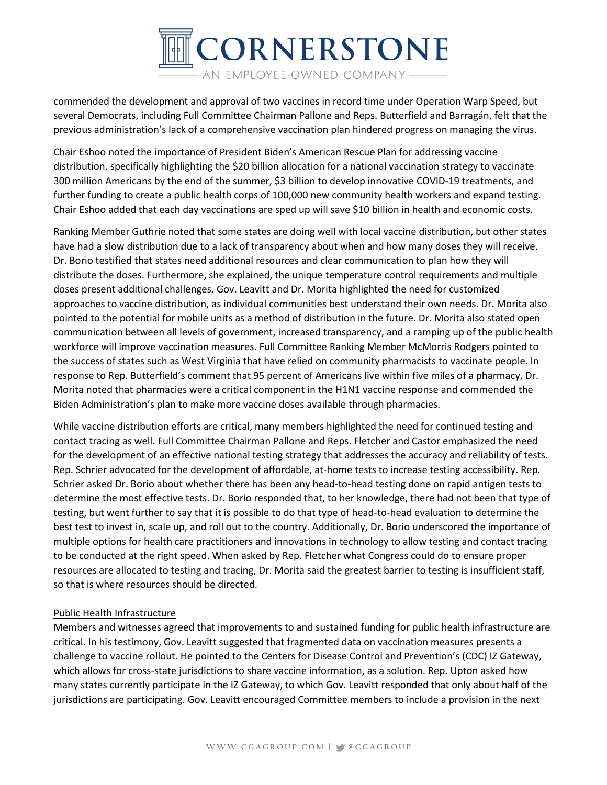

commended the development and approval of two vaccines in record time under Operation Warp Speed, but several Democrats, including Full Committee Chairman Pallone and Reps. Butterfield and Barragán, felt that the previous administration's lack of a comprehensive vaccination plan hindered progress on managing the virus.

Chair Eshoo noted the importance of President Biden's American Rescue Plan for addressing vaccine distribution, specifically highlighting the \$20 billion allocation for a national vaccination strategy to vaccinate 300 million Americans by the end of the summer, \$3 billion to develop innovative COVID-19 treatments, and further funding to create a public health corps of 100,000 new community health workers and expand testing. Chair Eshoo added that each day vaccinations are sped up will save \$10 billion in health and economic costs.

Ranking Member Guthrie noted that some states are doing well with local vaccine distribution, but other states have had a slow distribution due to a lack of transparency about when and how many doses they will receive. Dr. Borio testified that states need additional resources and clear communication to plan how they will distribute the doses. Furthermore, she explained, the unique temperature control requirements and multiple doses present additional challenges. Gov. Leavitt and Dr. Morita highlighted the need for customized approaches to vaccine distribution, as individual communities best understand their own needs. Dr. Morita also pointed to the potential for mobile units as a method of distribution in the future. Dr. Morita also stated open communication between all levels of government, increased transparency, and a ramping up of the public health workforce will improve vaccination measures. Full Committee Ranking Member McMorris Rodgers pointed to the success of states such as West Virginia that have relied on community pharmacists to vaccinate people. In response to Rep. Butterfield's comment that 95 percent of Americans live within five miles of a pharmacy, Dr. Morita noted that pharmacies were a critical component in the H1N1 vaccine response and commended the Biden Administration's plan to make more vaccine doses available through pharmacies.

While vaccine distribution efforts are critical, many members highlighted the need for continued testing and contact tracing as well. Full Committee Chairman Pallone and Reps. Fletcher and Castor emphasized the need for the development of an effective national testing strategy that addresses the accuracy and reliability of tests. Rep. Schrier advocated for the development of affordable, at-home tests to increase testing accessibility. Rep. Schrier asked Dr. Borio about whether there has been any head-to-head testing done on rapid antigen tests to determine the most effective tests. Dr. Borio responded that, to her knowledge, there had not been that type of testing, but went further to say that it is possible to do that type of head-to-head evaluation to determine the best test to invest in, scale up, and roll out to the country. Additionally, Dr. Borio underscored the importance of multiple options for health care practitioners and innovations in technology to allow testing and contact tracing to be conducted at the right speed. When asked by Rep. Fletcher what Congress could do to ensure proper resources are allocated to testing and tracing, Dr. Morita said the greatest barrier to testing is insufficient staff, so that is where resources should be directed.

### Public Health Infrastructure

Members and witnesses agreed that improvements to and sustained funding for public health infrastructure are critical. In his testimony, Gov. Leavitt suggested that fragmented data on vaccination measures presents a challenge to vaccine rollout. He pointed to the Centers for Disease Control and Prevention's (CDC) IZ Gateway, which allows for cross-state jurisdictions to share vaccine information, as a solution. Rep. Upton asked how many states currently participate in the IZ Gateway, to which Gov. Leavitt responded that only about half of the jurisdictions are participating. Gov. Leavitt encouraged Committee members to include a provision in the next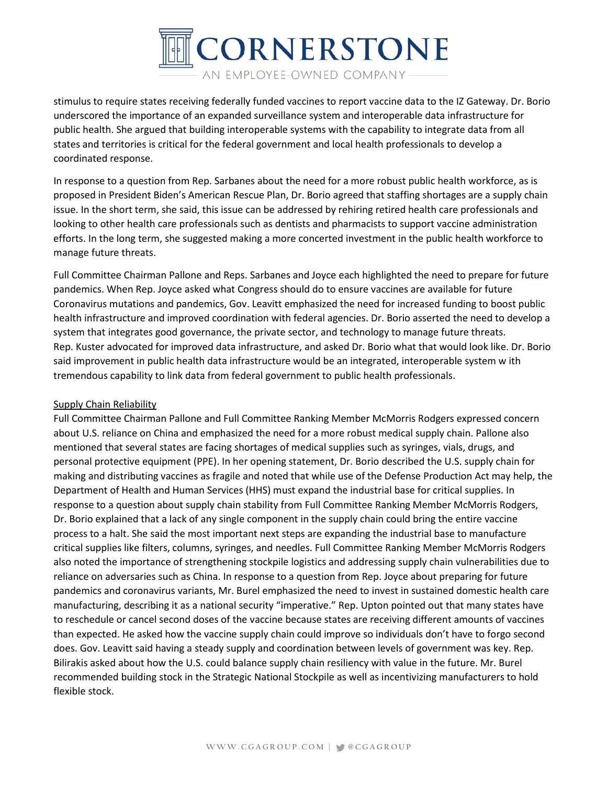

stimulus to require states receiving federally funded vaccines to report vaccine data to the IZ Gateway. Dr. Borio underscored the importance of an expanded surveillance system and interoperable data infrastructure for public health. She argued that building interoperable systems with the capability to integrate data from all states and territories is critical for the federal government and local health professionals to develop a coordinated response.

In response to a question from Rep. Sarbanes about the need for a more robust public health workforce, as is proposed in President Biden's American Rescue Plan, Dr. Borio agreed that staffing shortages are a supply chain issue. In the short term, she said, this issue can be addressed by rehiring retired health care professionals and looking to other health care professionals such as dentists and pharmacists to support vaccine administration efforts. In the long term, she suggested making a more concerted investment in the public health workforce to manage future threats.

Full Committee Chairman Pallone and Reps. Sarbanes and Joyce each highlighted the need to prepare for future pandemics. When Rep. Joyce asked what Congress should do to ensure vaccines are available for future Coronavirus mutations and pandemics, Gov. Leavitt emphasized the need for increased funding to boost public health infrastructure and improved coordination with federal agencies. Dr. Borio asserted the need to develop a system that integrates good governance, the private sector, and technology to manage future threats. Rep. Kuster advocated for improved data infrastructure, and asked Dr. Borio what that would look like. Dr. Borio said improvement in public health data infrastructure would be an integrated, interoperable system w ith tremendous capability to link data from federal government to public health professionals.

### Supply Chain Reliability

Full Committee Chairman Pallone and Full Committee Ranking Member McMorris Rodgers expressed concern about U.S. reliance on China and emphasized the need for a more robust medical supply chain. Pallone also mentioned that several states are facing shortages of medical supplies such as syringes, vials, drugs, and personal protective equipment (PPE). In her opening statement, Dr. Borio described the U.S. supply chain for making and distributing vaccines as fragile and noted that while use of the Defense Production Act may help, the Department of Health and Human Services (HHS) must expand the industrial base for critical supplies. In response to a question about supply chain stability from Full Committee Ranking Member McMorris Rodgers, Dr. Borio explained that a lack of any single component in the supply chain could bring the entire vaccine process to a halt. She said the most important next steps are expanding the industrial base to manufacture critical supplies like filters, columns, syringes, and needles. Full Committee Ranking Member McMorris Rodgers also noted the importance of strengthening stockpile logistics and addressing supply chain vulnerabilities due to reliance on adversaries such as China. In response to a question from Rep. Joyce about preparing for future pandemics and coronavirus variants, Mr. Burel emphasized the need to invest in sustained domestic health care manufacturing, describing it as a national security "imperative." Rep. Upton pointed out that many states have to reschedule or cancel second doses of the vaccine because states are receiving different amounts of vaccines than expected. He asked how the vaccine supply chain could improve so individuals don't have to forgo second does. Gov. Leavitt said having a steady supply and coordination between levels of government was key. Rep. Bilirakis asked about how the U.S. could balance supply chain resiliency with value in the future. Mr. Burel recommended building stock in the Strategic National Stockpile as well as incentivizing manufacturers to hold flexible stock.